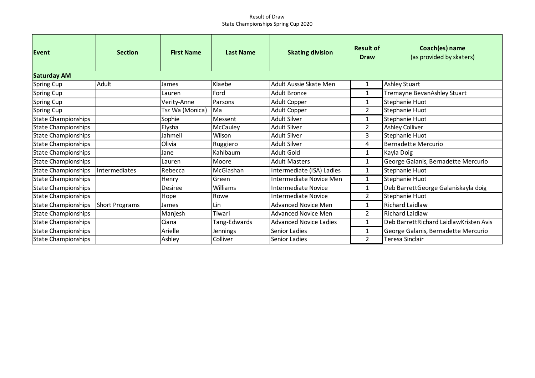## Result of Draw State Championships Spring Cup 2020

| Event                      | <b>Section</b> | <b>First Name</b> | <b>Last Name</b> | <b>Skating division</b>       | <b>Result of</b><br><b>Draw</b> | Coach(es) name<br>(as provided by skaters) |
|----------------------------|----------------|-------------------|------------------|-------------------------------|---------------------------------|--------------------------------------------|
| <b>Saturday AM</b>         |                |                   |                  |                               |                                 |                                            |
| Spring Cup                 | Adult          | James             | Klaebe           | Adult Aussie Skate Men        | 1                               | <b>Ashley Stuart</b>                       |
| Spring Cup                 |                | Lauren            | Ford             | <b>Adult Bronze</b>           | 1                               | Tremayne BevanAshley Stuart                |
| Spring Cup                 |                | Verity-Anne       | Parsons          | <b>Adult Copper</b>           | 1                               | Stephanie Huot                             |
| Spring Cup                 |                | Tsz Wa (Monica)   | Ma               | Adult Copper                  | $\overline{2}$                  | Stephanie Huot                             |
| <b>State Championships</b> |                | Sophie            | Messent          | <b>Adult Silver</b>           | 1                               | Stephanie Huot                             |
| <b>State Championships</b> |                | Elysha            | McCauley         | <b>Adult Silver</b>           | 2                               | <b>Ashley Colliver</b>                     |
| State Championships        |                | Jahmeil           | Wilson           | <b>Adult Silver</b>           | 3                               | Stephanie Huot                             |
| <b>State Championships</b> |                | Olivia            | Ruggiero         | <b>Adult Silver</b>           | 4                               | <b>Bernadette Mercurio</b>                 |
| <b>State Championships</b> |                | Jane              | Kahlbaum         | <b>Adult Gold</b>             | 1                               | Kayla Doig                                 |
| <b>State Championships</b> |                | Lauren            | Moore            | <b>Adult Masters</b>          | 1                               | George Galanis, Bernadette Mercurio        |
| <b>State Championships</b> | Intermediates  | Rebecca           | McGlashan        | Intermediate (ISA) Ladies     | 1                               | Stephanie Huot                             |
| <b>State Championships</b> |                | Henry             | Green            | Intermediate Novice Men       | $\mathbf{1}$                    | Stephanie Huot                             |
| <b>State Championships</b> |                | Desiree           | Williams         | <b>Intermediate Novice</b>    | 1                               | Deb BarrettGeorge Galaniskayla doig        |
| <b>State Championships</b> |                | Hope              | Rowe             | <b>Intermediate Novice</b>    | 2                               | Stephanie Huot                             |
| <b>State Championships</b> | Short Programs | James             | Lin              | Advanced Novice Men           | 1                               | <b>Richard Laidlaw</b>                     |
| State Championships        |                | Manjesh           | Tiwari           | <b>Advanced Novice Men</b>    | 2                               | Richard Laidlaw                            |
| <b>State Championships</b> |                | Ciana             | Tang-Edwards     | <b>Advanced Novice Ladies</b> | 1                               | Deb BarrettRichard LaidlawKristen Avis     |
| <b>State Championships</b> |                | Arielle           | Jennings         | Senior Ladies                 | 1                               | George Galanis, Bernadette Mercurio        |
| <b>State Championships</b> |                | Ashley            | Colliver         | Senior Ladies                 | 2                               | Teresa Sinclair                            |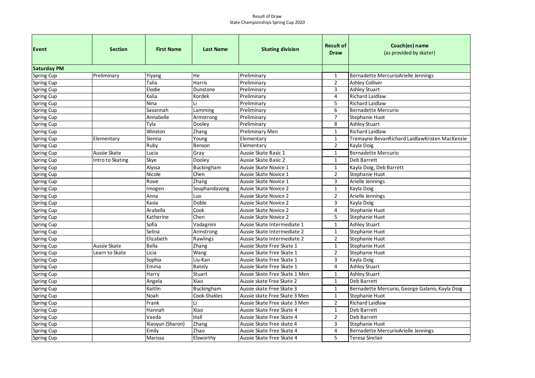## Result of Draw State Championships Spring Cup 2020

| Event              | <b>Section</b>   | <b>First Name</b> | <b>Last Name</b>  | <b>Skating division</b>       | <b>Result of</b> | Coach(es) name                                  |  |  |
|--------------------|------------------|-------------------|-------------------|-------------------------------|------------------|-------------------------------------------------|--|--|
|                    |                  |                   |                   |                               | <b>Draw</b>      | (as provided by skater)                         |  |  |
| <b>Saturday PM</b> |                  |                   |                   |                               |                  |                                                 |  |  |
| <b>Spring Cup</b>  | Preliminary      | Yiyang            | He                | Preliminary                   | 1                | Bernadette MercurioArielle Jennings             |  |  |
| Spring Cup         |                  | Talia             | Harris            | Preliminary                   | $\overline{2}$   | <b>Ashley Colliver</b>                          |  |  |
| Spring Cup         |                  | Elodie            | Dunstone          | Preliminary                   | $\overline{3}$   | <b>Ashley Stuart</b>                            |  |  |
| Spring Cup         |                  | Kalia             | Kordek            | Preliminary                   | $\overline{4}$   | <b>Richard Laidlaw</b>                          |  |  |
| Spring Cup         |                  | <b>Nina</b>       | Li                | Preliminary                   | 5                | <b>Richard Laidlaw</b>                          |  |  |
| Spring Cup         |                  | Savannah          | Lamming           | Preliminary                   | 6                | <b>Bernadette Mercurio</b>                      |  |  |
| Spring Cup         |                  | Annabelle         | Armstrong         | Preliminary                   | $\overline{7}$   | Stephanie Huot                                  |  |  |
| Spring Cup         |                  | Tyla              | Dooley            | Preliminary                   | 8                | <b>Ashley Stuart</b>                            |  |  |
| Spring Cup         |                  | Winston           | Zhang             | Preliminary Men               | $\mathbf{1}$     | <b>Richard Laidlaw</b>                          |  |  |
| Spring Cup         | Elementary       | Sienna            | Young             | Elementary                    | $\mathbf{1}$     | Tremayne BevanRichard LaidlawKristen MacKenzie  |  |  |
| Spring Cup         |                  | Ruby              | Benson            | Elementary                    | $\overline{2}$   | Kayla Doig                                      |  |  |
| <b>Spring Cup</b>  | Aussie Skate     | Lucia             | Gray              | Aussie Skate Basic 1          | $\mathbf{1}$     | <b>Bernadette Mercurio</b>                      |  |  |
| <b>Spring Cup</b>  | Intro to Skating | Skye              | Dooley            | Aussie Skate Basic 2          | $\mathbf{1}$     | Deb Barrett                                     |  |  |
| Spring Cup         |                  | Alyssa            | <b>Buckingham</b> | Aussie Skate Novice 1         | $\mathbf{1}$     | Kayla Doig, Deb Barrett                         |  |  |
| Spring Cup         |                  | Nicole            | Chen              | Aussie Skate Novice 1         | $\overline{2}$   | Stephanie Huot                                  |  |  |
| Spring Cup         |                  | Rosie             | Zhang             | Aussie Skate Novice 1         | 3                | Arielle Jennings                                |  |  |
| Spring Cup         |                  | Imogen            | Souphandavong     | Aussie Skate Novice 2         | 1                | Kayla Doig                                      |  |  |
| Spring Cup         |                  | Anna              | Luo               | Aussie Skate Novice 2         | $\mathbf 2$      | Arielle Jennings                                |  |  |
| Spring Cup         |                  | Kasia             | Doble             | Aussie Skate Novice 2         | 3                | Kayla Doig                                      |  |  |
| Spring Cup         |                  | Arabella          | Cook              | Aussie Skate Novice 2         | $\overline{4}$   | Stephanie Huot                                  |  |  |
| Spring Cup         |                  | Katherine         | Chen              | Aussie Skate Novice 2         | 5                | Stephanie Huot                                  |  |  |
| Spring Cup         |                  | Sofia             | Vadagnini         | Aussie Skate Intermediate 1   | $\mathbf{1}$     | <b>Ashley Stuart</b>                            |  |  |
| Spring Cup         |                  | Selina            | Armstrong         | Aussie Skate Intermediate 2   | $\mathbf{1}$     | Stephanie Huot                                  |  |  |
| Spring Cup         |                  | Elizabeth         | Rawlings          | Aussie Skate Intermediate 2   | $\overline{2}$   | Stephanie Huot                                  |  |  |
| Spring Cup         | Aussie Skate     | Bella             | Zhang             | Aussie Skate Free Skate 1     | $\mathbf{1}$     | Stephanie Huot                                  |  |  |
| Spring Cup         | Learn to Skate   | Licia             | Wang              | Aussie Skate Free Skate 1     | $\overline{2}$   | Stephanie Huot                                  |  |  |
| Spring Cup         |                  | Sophia            | Liu-Kan           | Aussie Skate Free Skate 1     | 3                | Kayla Doig                                      |  |  |
| Spring Cup         |                  | Emma              | <b>Bately</b>     | Aussie Skate Free Skate 1     | 4                | Ashley Stuart                                   |  |  |
| Spring Cup         |                  | Harry             | Stuart            | Aussie Skate Free Skate 1 Men | 1                | Ashley Stuart                                   |  |  |
| Spring Cup         |                  | Angela            | Xiao              | Aussie skate Free Skate 2     | $\mathbf{1}$     | Deb Barrett                                     |  |  |
| Spring Cup         |                  | Kaitlin           | <b>Buckingham</b> | Aussie skate Free Skate 3     | $\mathbf{1}$     | Bernadette Mercurio, George Galanis, Kayla Doig |  |  |
| Spring Cup         |                  | Noah              | Cook-Shakles      | Aussie skate Free Skate 3 Men | $\mathbf{1}$     | Stephanie Huot                                  |  |  |
| Spring Cup         |                  | Frank             | Li                | Aussie Skate Free skate 3 Men | $\overline{2}$   | <b>Richard Laidlaw</b>                          |  |  |
| Spring Cup         |                  | Hannah            | Xiao              | Aussie Skate Free Skate 4     | $\mathbf{1}$     | Deb Barrett                                     |  |  |
| Spring Cup         |                  | Vaeda             | Hall              | Aussie Skate Free Skate 4     | $\overline{2}$   | Deb Barrett                                     |  |  |
| Spring Cup         |                  | Xiaoyun (Sharon)  | Zhang             | Aussie Skate Free skate 4     | 3                | Stephanie Huot                                  |  |  |
| Spring Cup         |                  | Emily             | Zhao              | Aussie Skate Free Skate 4     | $\overline{4}$   | Bernadette MercurioArielle Jennings             |  |  |
| Spring Cup         |                  | Marissa           | Elsworthy         | Aussie Skate Free Skate 4     | 5                | Teresa Sinclair                                 |  |  |